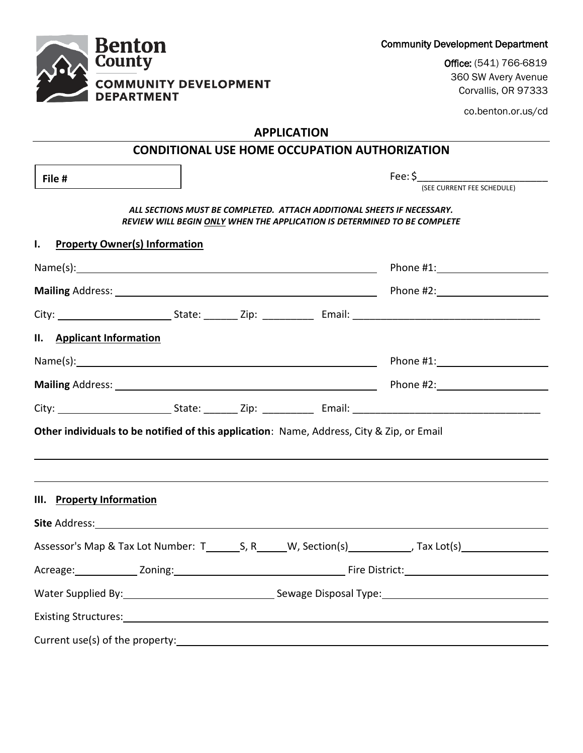| County                                                                                                                                                                                                                        | <b>OTICE:</b> (54T) \00-08TA<br>360 SW Avery Avenue                                                                                                |  |  |  |
|-------------------------------------------------------------------------------------------------------------------------------------------------------------------------------------------------------------------------------|----------------------------------------------------------------------------------------------------------------------------------------------------|--|--|--|
| <b>COMMUNITY DEVELOPMENT</b><br><b>DEPARTMENT</b>                                                                                                                                                                             | Corvallis, OR 97333                                                                                                                                |  |  |  |
|                                                                                                                                                                                                                               | co.benton.or.us/cd                                                                                                                                 |  |  |  |
|                                                                                                                                                                                                                               | <b>APPLICATION</b>                                                                                                                                 |  |  |  |
|                                                                                                                                                                                                                               | <b>CONDITIONAL USE HOME OCCUPATION AUTHORIZATION</b>                                                                                               |  |  |  |
| File #                                                                                                                                                                                                                        | Fee: \$<br>(SEE CURRENT FEE SCHEDULE)                                                                                                              |  |  |  |
|                                                                                                                                                                                                                               | ALL SECTIONS MUST BE COMPLETED. ATTACH ADDITIONAL SHEETS IF NECESSARY.<br>REVIEW WILL BEGIN ONLY WHEN THE APPLICATION IS DETERMINED TO BE COMPLETE |  |  |  |
| <b>Property Owner(s) Information</b><br>I.                                                                                                                                                                                    |                                                                                                                                                    |  |  |  |
|                                                                                                                                                                                                                               |                                                                                                                                                    |  |  |  |
|                                                                                                                                                                                                                               |                                                                                                                                                    |  |  |  |
|                                                                                                                                                                                                                               |                                                                                                                                                    |  |  |  |
| II. Applicant Information                                                                                                                                                                                                     |                                                                                                                                                    |  |  |  |
| Name(s): Name and the second contract of the second contract of the second contract of the second contract of the second contract of the second contract of the second contract of the second contract of the second contract | Phone #1: Phone #1:                                                                                                                                |  |  |  |
|                                                                                                                                                                                                                               | Phone #2: Phone #2:                                                                                                                                |  |  |  |
|                                                                                                                                                                                                                               |                                                                                                                                                    |  |  |  |
| Other individuals to be notified of this application: Name, Address, City & Zip, or Email                                                                                                                                     |                                                                                                                                                    |  |  |  |
| III. Property Information                                                                                                                                                                                                     |                                                                                                                                                    |  |  |  |
|                                                                                                                                                                                                                               |                                                                                                                                                    |  |  |  |
|                                                                                                                                                                                                                               | Assessor's Map & Tax Lot Number: T_________S, R_______W, Section(s)____________, Tax Lot(s)__________________                                      |  |  |  |
|                                                                                                                                                                                                                               |                                                                                                                                                    |  |  |  |
|                                                                                                                                                                                                                               | Water Supplied By: 1992 Company Sewage Disposal Type: 1994                                                                                         |  |  |  |
|                                                                                                                                                                                                                               |                                                                                                                                                    |  |  |  |
|                                                                                                                                                                                                                               |                                                                                                                                                    |  |  |  |



Community Development Department

Office: (541) 766-6819 360 SW Avery Avenue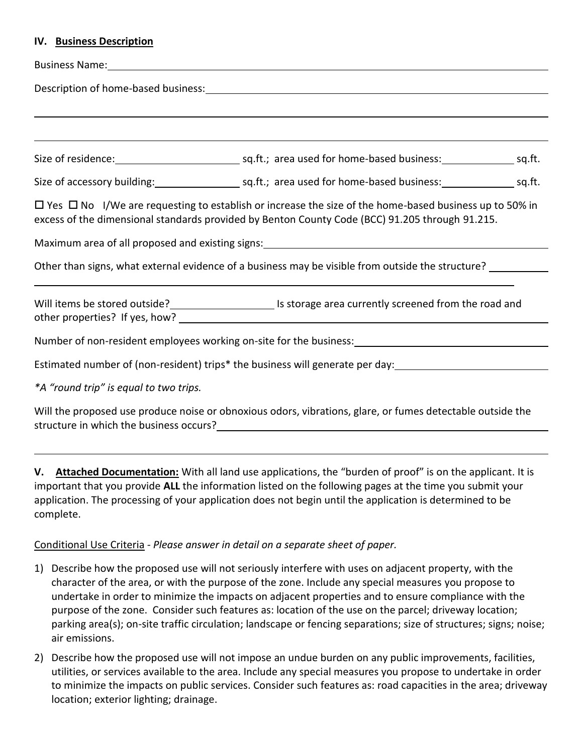#### **IV. Business Description**

| Business Name: Name: Name and Separate and Separate and Separate and Separate and Separate and Separate and Separate and Separate and Separate and Separate and Separate and Separate and Separate and Separate and Separate a |                                                                                                                                                                                                                                           |  |  |  |
|--------------------------------------------------------------------------------------------------------------------------------------------------------------------------------------------------------------------------------|-------------------------------------------------------------------------------------------------------------------------------------------------------------------------------------------------------------------------------------------|--|--|--|
| Description of home-based business: 1999 and 200 million and 200 million and 200 million and 200 million and 20                                                                                                                |                                                                                                                                                                                                                                           |  |  |  |
|                                                                                                                                                                                                                                |                                                                                                                                                                                                                                           |  |  |  |
|                                                                                                                                                                                                                                | ,我们也不会有什么。""我们的人,我们也不会有什么?""我们的人,我们也不会有什么?""我们的人,我们也不会有什么?""我们的人,我们也不会有什么?""我们的人                                                                                                                                                          |  |  |  |
|                                                                                                                                                                                                                                |                                                                                                                                                                                                                                           |  |  |  |
|                                                                                                                                                                                                                                |                                                                                                                                                                                                                                           |  |  |  |
|                                                                                                                                                                                                                                | $\Box$ Yes $\Box$ No I/We are requesting to establish or increase the size of the home-based business up to 50% in<br>excess of the dimensional standards provided by Benton County Code (BCC) 91.205 through 91.215.                     |  |  |  |
|                                                                                                                                                                                                                                | Maximum area of all proposed and existing signs: Maximum and the matter of the matter of the matter of the matter                                                                                                                         |  |  |  |
|                                                                                                                                                                                                                                | Other than signs, what external evidence of a business may be visible from outside the structure?                                                                                                                                         |  |  |  |
|                                                                                                                                                                                                                                | Will items be stored outside?<br><u> Listorage</u> area currently screened from the road and                                                                                                                                              |  |  |  |
| Number of non-resident employees working on-site for the business:<br>Number of non-resident employees working on-site for the business:<br>Universely                                                                         |                                                                                                                                                                                                                                           |  |  |  |
|                                                                                                                                                                                                                                |                                                                                                                                                                                                                                           |  |  |  |
| *A "round trip" is equal to two trips.                                                                                                                                                                                         |                                                                                                                                                                                                                                           |  |  |  |
|                                                                                                                                                                                                                                | $\mathbf{r}$ and $\mathbf{r}$ and $\mathbf{r}$ are the set of the set of the set of the set of the set of the set of the set of the set of the set of the set of the set of the set of the set of the set of the set of the set of the se |  |  |  |

Will the proposed use produce noise or obnoxious odors, vibrations, glare, or fumes detectable outside the structure in which the business occurs?

**V. Attached Documentation:** With all land use applications, the "burden of proof" is on the applicant. It is important that you provide **ALL** the information listed on the following pages at the time you submit your application. The processing of your application does not begin until the application is determined to be complete.

## Conditional Use Criteria *- Please answer in detail on a separate sheet of paper.*

- 1) Describe how the proposed use will not seriously interfere with uses on adjacent property, with the character of the area, or with the purpose of the zone. Include any special measures you propose to undertake in order to minimize the impacts on adjacent properties and to ensure compliance with the purpose of the zone. Consider such features as: location of the use on the parcel; driveway location; parking area(s); on-site traffic circulation; landscape or fencing separations; size of structures; signs; noise; air emissions.
- 2) Describe how the proposed use will not impose an undue burden on any public improvements, facilities, utilities, or services available to the area. Include any special measures you propose to undertake in order to minimize the impacts on public services. Consider such features as: road capacities in the area; driveway location; exterior lighting; drainage.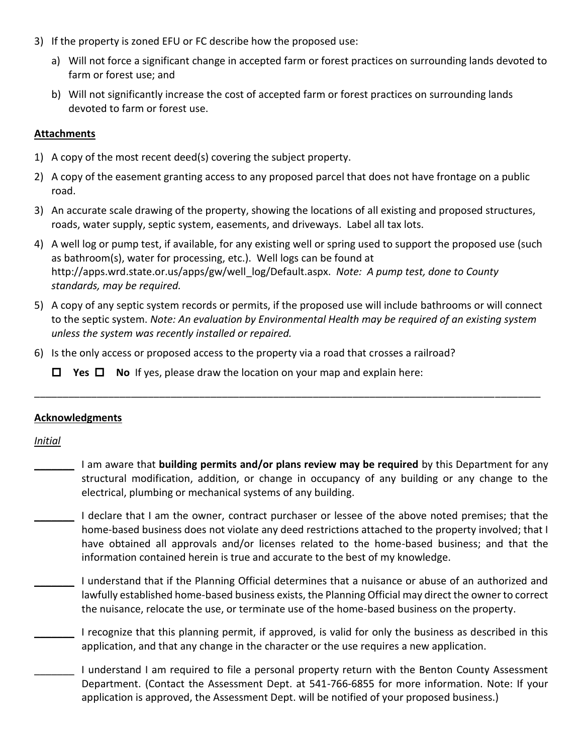- 3) If the property is zoned EFU or FC describe how the proposed use:
	- a) Will not force a significant change in accepted farm or forest practices on surrounding lands devoted to farm or forest use; and
	- b) Will not significantly increase the cost of accepted farm or forest practices on surrounding lands devoted to farm or forest use.

# **Attachments**

- 1) A copy of the most recent deed(s) covering the subject property.
- 2) A copy of the easement granting access to any proposed parcel that does not have frontage on a public road.
- 3) An accurate scale drawing of the property, showing the locations of all existing and proposed structures, roads, water supply, septic system, easements, and driveways. Label all tax lots.
- 4) A well log or pump test, if available, for any existing well or spring used to support the proposed use (such as bathroom(s), water for processing, etc.). Well logs can be found at http://apps.wrd.state.or.us/apps/gw/well\_log/Default.aspx. *Note: A pump test, done to County standards, may be required.*
- 5) A copy of any septic system records or permits, if the proposed use will include bathrooms or will connect to the septic system. *Note: An evaluation by Environmental Health may be required of an existing system unless the system was recently installed or repaired.*

\_\_\_\_\_\_\_\_\_\_\_\_\_\_\_\_\_\_\_\_\_\_\_\_\_\_\_\_\_\_\_\_\_\_\_\_\_\_\_\_\_\_\_\_\_\_\_\_\_\_\_\_\_\_\_\_\_\_\_\_\_\_\_\_\_\_\_\_\_\_\_\_\_\_\_\_\_\_\_\_\_\_\_\_\_\_\_\_\_

6) Is the only access or proposed access to the property via a road that crosses a railroad?

**Yes No** If yes, please draw the location on your map and explain here:

## **Acknowledgments**

*Initial*

- \_\_\_\_\_\_\_ I am aware that **building permits and/or plans review may be required** by this Department for any structural modification, addition, or change in occupancy of any building or any change to the electrical, plumbing or mechanical systems of any building.
- I declare that I am the owner, contract purchaser or lessee of the above noted premises; that the home-based business does not violate any deed restrictions attached to the property involved; that I have obtained all approvals and/or licenses related to the home-based business; and that the information contained herein is true and accurate to the best of my knowledge.
	- \_\_\_\_\_\_\_ I understand that if the Planning Official determines that a nuisance or abuse of an authorized and lawfully established home-based business exists, the Planning Official may direct the owner to correct the nuisance, relocate the use, or terminate use of the home-based business on the property.
	- \_\_\_\_\_\_\_ I recognize that this planning permit, if approved, is valid for only the business as described in this application, and that any change in the character or the use requires a new application.
	- \_\_\_\_\_\_\_ I understand I am required to file a personal property return with the Benton County Assessment Department. (Contact the Assessment Dept. at 541-766-6855 for more information. Note: If your application is approved, the Assessment Dept. will be notified of your proposed business.)